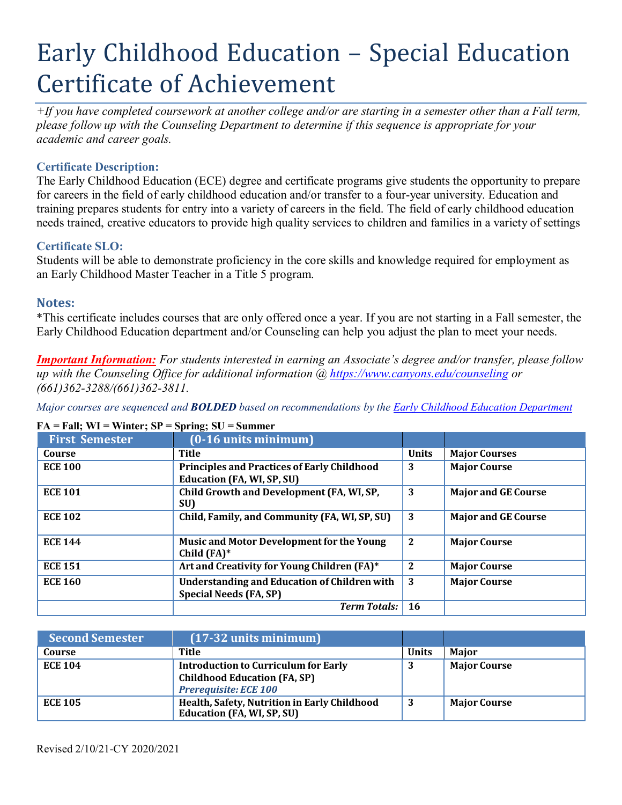# Early Childhood Education – Special Education Certificate of Achievement

*+If you have completed coursework at another college and/or are starting in a semester other than a Fall term, please follow up with the Counseling Department to determine if this sequence is appropriate for your academic and career goals.*

## **Certificate Description:**

The Early Childhood Education (ECE) degree and certificate programs give students the opportunity to prepare for careers in the field of early childhood education and/or transfer to a four-year university. Education and training prepares students for entry into a variety of careers in the field. The field of early childhood education needs trained, creative educators to provide high quality services to children and families in a variety of settings

### **Certificate SLO:**

Students will be able to demonstrate proficiency in the core skills and knowledge required for employment as an Early Childhood Master Teacher in a Title 5 program.

## **Notes:**

\*This certificate includes courses that are only offered once a year. If you are not starting in a Fall semester, the Early Childhood Education department and/or Counseling can help you adjust the plan to meet your needs.

*Important Information: For students interested in earning an Associate's degree and/or transfer, please follow up with the Counseling Office for additional information @ https:/[/www.canyons.edu/counseling](http://www.canyons.edu/counseling) or (661)362-3288/(661)362-3811.*

*Major courses are sequenced and BOLDED based on recommendations by the Early Childhood Education Department*

| <b>First Semester</b> | $(0-16$ units minimum $)$                                                               |              |                            |
|-----------------------|-----------------------------------------------------------------------------------------|--------------|----------------------------|
| Course                | Title                                                                                   | <b>Units</b> | <b>Major Courses</b>       |
| <b>ECE 100</b>        | <b>Principles and Practices of Early Childhood</b><br><b>Education (FA, WI, SP, SU)</b> | 3            | <b>Major Course</b>        |
| <b>ECE 101</b>        | Child Growth and Development (FA, WI, SP,<br>SU)                                        | 3            | <b>Major and GE Course</b> |
| <b>ECE 102</b>        | Child, Family, and Community (FA, WI, SP, SU)                                           | 3            | <b>Major and GE Course</b> |
| <b>ECE 144</b>        | <b>Music and Motor Development for the Young</b><br>Child $(FA)*$                       | $\mathbf{2}$ | <b>Major Course</b>        |
| <b>ECE 151</b>        | Art and Creativity for Young Children (FA)*                                             | 2            | <b>Major Course</b>        |
| <b>ECE 160</b>        | <b>Understanding and Education of Children with</b><br><b>Special Needs (FA, SP)</b>    | 3            | <b>Major Course</b>        |
|                       | <b>Term Totals:</b>                                                                     | 16           |                            |

#### **FA = Fall; WI = Winter; SP = Spring; SU = Summer**

| <b>Second Semester</b> | $(17-32 \text{ units minimum})$                                                                                    |              |                     |
|------------------------|--------------------------------------------------------------------------------------------------------------------|--------------|---------------------|
| Course                 | Title                                                                                                              | <b>Units</b> | <b>Maior</b>        |
| <b>ECE 104</b>         | <b>Introduction to Curriculum for Early</b><br><b>Childhood Education (FA, SP)</b><br><b>Prerequisite: ECE 100</b> | 3            | <b>Major Course</b> |
| <b>ECE 105</b>         | Health, Safety, Nutrition in Early Childhood<br><b>Education (FA, WI, SP, SU)</b>                                  | а            | <b>Major Course</b> |